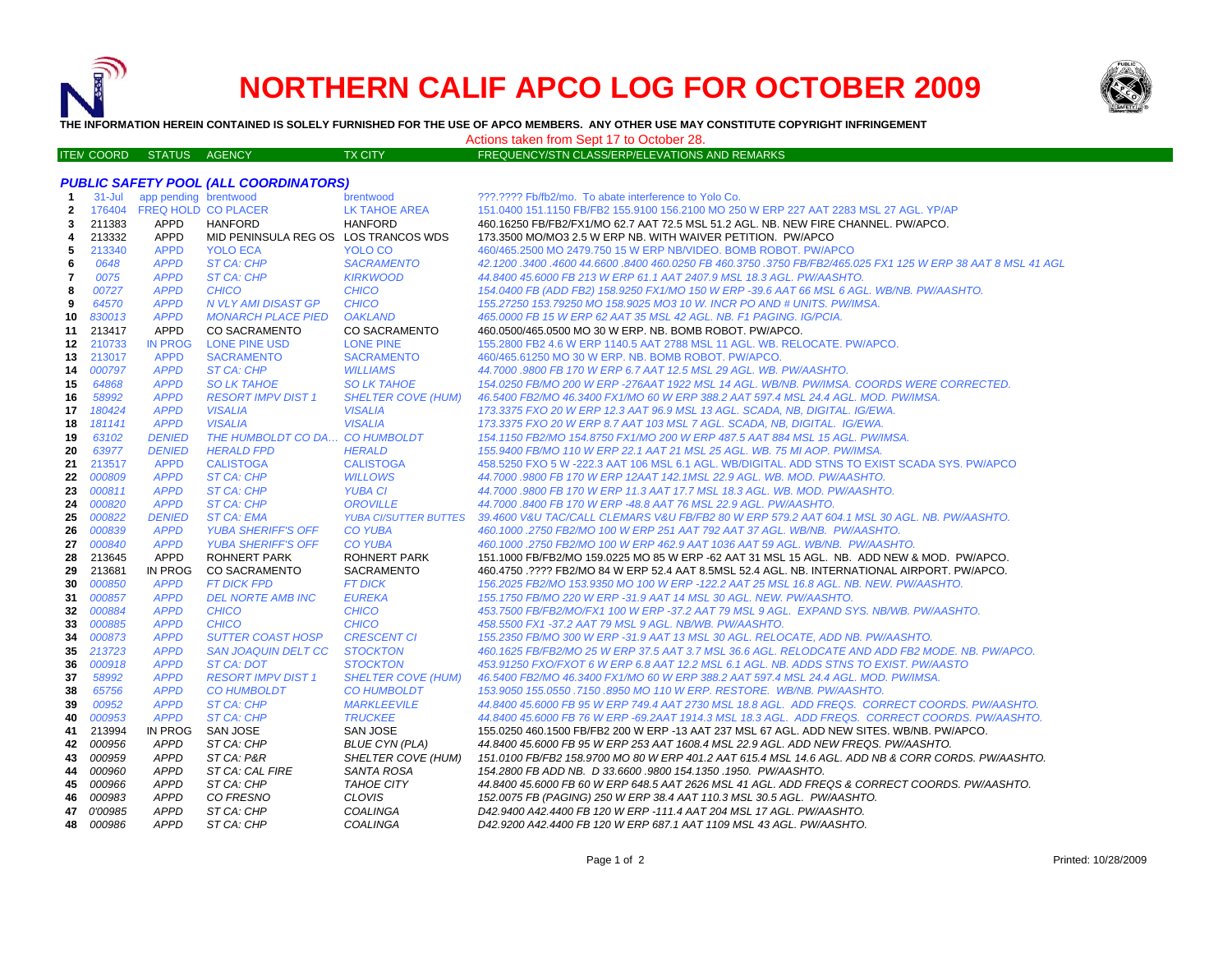

ITE M

# **NORTHERN CALIF APCO LOG FOR OCTOBER 2009**



**THE INFORMATION HEREIN CONTAINED IS SOLELY FURNISHED FOR THE USE OF APCO MEMBERS. ANY OTHER USE MAY CONSTITUTE COPYRIGHT INFRINGEMENT**

## Actions taken from Sept 17 to October 28.

## TX CITY FREQUENCY/STN CLASS/ERP/ELEVATIONS AND REMARKS

|  |                              | PUBLIC SAFETY POOL (ALL COORDINATORS) |  |
|--|------------------------------|---------------------------------------|--|
|  | 31-Jul app pending brentwood |                                       |  |

| -1           | $31 -$ Jul | app pending brentwood      |                                      | brentwood                    | ???.???? Fb/fb2/mo. To abate interference to Yolo Co.                                                      |
|--------------|------------|----------------------------|--------------------------------------|------------------------------|------------------------------------------------------------------------------------------------------------|
| $\mathbf{2}$ |            | 176404 FREQ HOLD CO PLACER |                                      | <b>LK TAHOE AREA</b>         | 151.0400 151.1150 FB/FB2 155.9100 156.2100 MO 250 W ERP 227 AAT 2283 MSL 27 AGL. YP/AP                     |
| 3            | 211383     | <b>APPD</b>                | <b>HANFORD</b>                       | <b>HANFORD</b>               | 460.16250 FB/FB2/FX1/MO 62.7 AAT 72.5 MSL 51.2 AGL. NB. NEW FIRE CHANNEL. PW/APCO.                         |
| 4            | 213332     | <b>APPD</b>                | MID PENINSULA REG OS LOS TRANCOS WDS |                              | 173.3500 MO/MO3 2.5 W ERP NB, WITH WAIVER PETITION. PW/APCO                                                |
| 5            | 213340     | <b>APPD</b>                | <b>YOLO ECA</b>                      | YOLO CO                      | 460/465.2500 MO 2479.750 15 W ERP NB/VIDEO. BOMB ROBOT. PW/APCO                                            |
| 6            | 0648       | <b>APPD</b>                | ST CA: CHP                           | <b>SACRAMENTO</b>            | 42.1200.3400.4600 44.6600.8400 460.0250 FB 460.3750 .3750 FB/FB2/465.025 FX1 125 W ERP 38 AAT 8 MSL 41 AGL |
| 7            | 0075       | <b>APPD</b>                | ST CA: CHP                           | <b>KIRKWOOD</b>              | 44.8400 45.6000 FB 213 W ERP 61.1 AAT 2407.9 MSL 18.3 AGL, PW/AASHTO.                                      |
| 8            | 00727      | <b>APPD</b>                | <b>CHICO</b>                         | <b>CHICO</b>                 | 154.0400 FB (ADD FB2) 158.9250 FX1/MO 150 W ERP -39.6 AAT 66 MSL 6 AGL. WB/NB. PW/AASHTO.                  |
| 9            | 64570      | <b>APPD</b>                | N VLY AMI DISAST GP                  | <b>CHICO</b>                 | 155.27250 153.79250 MO 158.9025 MO3 10 W. INCR PO AND # UNITS. PW/IMSA.                                    |
| 10           | 830013     | <b>APPD</b>                | <b>MONARCH PLACE PIED</b>            | <b>OAKLAND</b>               | 465.0000 FB 15 W ERP 62 AAT 35 MSL 42 AGL. NB. F1 PAGING. IG/PCIA.                                         |
| 11           | 213417     | <b>APPD</b>                | <b>CO SACRAMENTO</b>                 | <b>CO SACRAMENTO</b>         | 460.0500/465.0500 MO 30 W ERP. NB. BOMB ROBOT, PW/APCO.                                                    |
| 12           | 210733     | <b>IN PROG</b>             | <b>LONE PINE USD</b>                 | <b>LONE PINE</b>             | 155.2800 FB2 4.6 W ERP 1140.5 AAT 2788 MSL 11 AGL. WB. RELOCATE. PW/APCO.                                  |
| 13           | 213017     | <b>APPD</b>                | <b>SACRAMENTO</b>                    | <b>SACRAMENTO</b>            | 460/465.61250 MO 30 W ERP. NB. BOMB ROBOT. PW/APCO.                                                        |
| 14           | 000797     | <b>APPD</b>                | ST CA: CHP                           | <b>WILLIAMS</b>              | 44.7000 .9800 FB 170 W ERP 6.7 AAT 12.5 MSL 29 AGL. WB. PW/AASHTO.                                         |
| 15           | 64868      | <b>APPD</b>                | <b>SO LK TAHOE</b>                   | <b>SO LK TAHOE</b>           | 154.0250 FB/MO 200 W ERP -276AAT 1922 MSL 14 AGL. WB/NB. PW/IMSA. COORDS WERE CORRECTED.                   |
| 16           | 58992      | <b>APPD</b>                | <b>RESORT IMPV DIST 1</b>            | <b>SHELTER COVE (HUM)</b>    | 46.5400 FB2/MO 46.3400 FX1/MO 60 W ERP 388.2 AAT 597.4 MSL 24.4 AGL, MOD, PW/IMSA.                         |
| 17           | 180424     | <b>APPD</b>                | <b>VISALIA</b>                       | <b>VISALIA</b>               | 173.3375 FXO 20 W ERP 12.3 AAT 96.9 MSL 13 AGL. SCADA, NB, DIGITAL. IG/EWA.                                |
| 18           | 181141     | <b>APPD</b>                | <b>VISALIA</b>                       | <b>VISALIA</b>               | 173.3375 FXO 20 W ERP 8.7 AAT 103 MSL 7 AGL. SCADA. NB. DIGITAL. IG/EWA.                                   |
| 19           | 63102      | <b>DENIED</b>              | THE HUMBOLDT CO DA CO HUMBOLDT       |                              | 154.1150 FB2/MO 154.8750 FX1/MO 200 W ERP 487.5 AAT 884 MSL 15 AGL. PW/IMSA.                               |
| 20           | 63977      | <b>DENIED</b>              | <b>HERALD FPD</b>                    | <b>HERALD</b>                | 155.9400 FB/MO 110 W ERP 22.1 AAT 21 MSL 25 AGL. WB. 75 MI AOP. PW/IMSA.                                   |
| 21           | 213517     | <b>APPD</b>                | <b>CALISTOGA</b>                     | <b>CALISTOGA</b>             | 458.5250 FXO 5 W -222.3 AAT 106 MSL 6.1 AGL. WB/DIGITAL. ADD STNS TO EXIST SCADA SYS. PW/APCO              |
| 22           | 000809     | <b>APPD</b>                | ST CA: CHP                           | <b>WILLOWS</b>               | 44.7000 .9800 FB 170 W ERP 12AAT 142.1MSL 22.9 AGL. WB. MOD. PW/AASHTO.                                    |
| 23           | 000811     | <b>APPD</b>                | ST CA: CHP                           | <b>YUBA CI</b>               | 44.7000 .9800 FB 170 W ERP 11.3 AAT 17.7 MSL 18.3 AGL. WB. MOD. PW/AASHTO.                                 |
| 24           | 000820     | <b>APPD</b>                | ST CA: CHP                           | <b>OROVILLE</b>              | 44.7000.8400 FB 170 W ERP -48.8 AAT 76 MSL 22.9 AGL. PW/AASHTO.                                            |
| 25           | 000822     | <b>DENIED</b>              | <b>ST CA: EMA</b>                    | <b>YUBA CI/SUTTER BUTTES</b> | 39.4600 V&U TAC/CALL CLEMARS V&U FB/FB2 80 W ERP 579.2 AAT 604.1 MSL 30 AGL. NB. PW/AASHTO.                |
| 26           | 000839     | <b>APPD</b>                | <b>YUBA SHERIFF'S OFF</b>            | <b>CO YUBA</b>               | 460.1000.2750 FB2/MO 100 W ERP 251 AAT 792 AAT 37 AGL. WB/NB. PW/AASHTO.                                   |
| 27           | 000840     | <b>APPD</b>                | <b>YUBA SHERIFF'S OFF</b>            | <b>CO YUBA</b>               | 460.1000 .2750 FB2/MO 100 W ERP 462.9 AAT 1036 AAT 59 AGL. WB/NB. PW/AASHTO.                               |
| 28           | 213645     | APPD                       | <b>ROHNERT PARK</b>                  | <b>ROHNERT PARK</b>          | 151.1000 FB/FB2/MO 159.0225 MO 85 W ERP -62 AAT 31 MSL 15 AGL. NB. ADD NEW & MOD. PW/APCO.                 |
| 29           | 213681     | IN PROG                    | <b>CO SACRAMENTO</b>                 | SACRAMENTO                   | 460.4750 .???? FB2/MO 84 W ERP 52.4 AAT 8.5MSL 52.4 AGL. NB. INTERNATIONAL AIRPORT. PW/APCO.               |
| 30           | 000850     | <b>APPD</b>                | <b>FT DICK FPD</b>                   | <b>FT DICK</b>               | 156.2025 FB2/MO 153.9350 MO 100 W ERP -122.2 AAT 25 MSL 16.8 AGL. NB. NEW. PW/AASHTO.                      |
| 31           | 000857     | <b>APPD</b>                | <b>DEL NORTE AMB INC</b>             | <b>EUREKA</b>                | 155.1750 FB/MO 220 W ERP -31.9 AAT 14 MSL 30 AGL. NEW. PW/AASHTO.                                          |
| 32           | 000884     | <b>APPD</b>                | <b>CHICO</b>                         | <b>CHICO</b>                 | 453.7500 FB/FB2/MO/FX1 100 W ERP -37.2 AAT 79 MSL 9 AGL. EXPAND SYS. NB/WB. PW/AASHTO.                     |
| 33           | 000885     | <b>APPD</b>                | <b>CHICO</b>                         | <b>CHICO</b>                 | 458.5500 FX1 -37.2 AAT 79 MSL 9 AGL. NB/WB. PW/AASHTO.                                                     |
| 34           | 000873     | <b>APPD</b>                | <b>SUTTER COAST HOSP</b>             | <b>CRESCENT CI</b>           | 155.2350 FB/MO 300 W ERP -31.9 AAT 13 MSL 30 AGL. RELOCATE, ADD NB. PW/AASHTO.                             |
| 35           | 213723     | <b>APPD</b>                | <b>SAN JOAQUIN DELT CC</b>           | <b>STOCKTON</b>              | 460.1625 FB/FB2/MO 25 W ERP 37.5 AAT 3.7 MSL 36.6 AGL. RELODCATE AND ADD FB2 MODE. NB. PW/APCO.            |
| 36           | 000918     | <b>APPD</b>                | ST CA: DOT                           | <b>STOCKTON</b>              | 453.91250 FXO/FXOT 6 W ERP 6.8 AAT 12.2 MSL 6.1 AGL. NB. ADDS STNS TO EXIST. PW/AASTO                      |
| 37           | 58992      | <b>APPD</b>                | <b>RESORT IMPV DIST 1</b>            | <b>SHELTER COVE (HUM)</b>    | 46.5400 FB2/MO 46.3400 FX1/MO 60 W ERP 388.2 AAT 597.4 MSL 24.4 AGL. MOD. PW/IMSA.                         |
| 38           | 65756      | <b>APPD</b>                | <b>CO HUMBOLDT</b>                   | <b>CO HUMBOLDT</b>           | 153.9050 155.0550 .7150 .8950 MO 110 W ERP, RESTORE, WB/NB, PW/AASHTO,                                     |
| 39           | 00952      | <b>APPD</b>                | ST CA: CHP                           | <b>MARKLEEVILE</b>           | 44.8400 45.6000 FB 95 W ERP 749.4 AAT 2730 MSL 18.8 AGL. ADD FREQS. CORRECT COORDS. PW/AASHTO.             |
| 40           | 000953     | <b>APPD</b>                | ST CA: CHP                           | <b>TRUCKEE</b>               | 44.8400 45.6000 FB 76 W ERP -69.2AAT 1914.3 MSL 18.3 AGL. ADD FREQS. CORRECT COORDS. PW/AASHTO.            |
| 41           | 213994     | IN PROG                    | <b>SAN JOSE</b>                      | <b>SAN JOSE</b>              | 155.0250 460.1500 FB/FB2 200 W ERP -13 AAT 237 MSL 67 AGL. ADD NEW SITES. WB/NB. PW/APCO.                  |
| 42           | 000956     | <b>APPD</b>                | ST CA: CHP                           | <b>BLUE CYN (PLA)</b>        | 44.8400 45.6000 FB 95 W ERP 253 AAT 1608.4 MSL 22.9 AGL. ADD NEW FREQS. PW/AASHTO.                         |
| 43           | 000959     | <b>APPD</b>                | ST CA: P&R                           | SHELTER COVE (HUM)           | 151.0100 FB/FB2 158.9700 MO 80 W ERP 401.2 AAT 615.4 MSL 14.6 AGL. ADD NB & CORR CORDS. PW/AASHTO.         |
| 44           | 000960     | <b>APPD</b>                | ST CA: CAL FIRE                      | SANTA ROSA                   | 154.2800 FB ADD NB. D 33.6600 .9800 154.1350 .1950. PW/AASHTO.                                             |
| 45           | 000966     | <b>APPD</b>                | ST CA: CHP                           | <b>TAHOE CITY</b>            | 44.8400 45.6000 FB 60 W ERP 648.5 AAT 2626 MSL 41 AGL. ADD FREQS & CORRECT COORDS. PW/AASHTO.              |
| 46           | 000983     | <b>APPD</b>                | CO FRESNO                            | <b>CLOVIS</b>                | 152.0075 FB (PAGING) 250 W ERP 38.4 AAT 110.3 MSL 30.5 AGL. PW/AASHTO.                                     |
|              | 47 0'00985 | <b>APPD</b>                | ST CA: CHP                           | COALINGA                     | D42.9400 A42.4400 FB 120 W ERP -111.4 AAT 204 MSL 17 AGL. PW/AASHTO.                                       |
| 48           | 000986     | <b>APPD</b>                | ST CA: CHP                           | COALINGA                     | D42.9200 A42.4400 FB 120 W ERP 687.1 AAT 1109 MSL 43 AGL. PW/AASHTO.                                       |
|              |            |                            |                                      |                              |                                                                                                            |